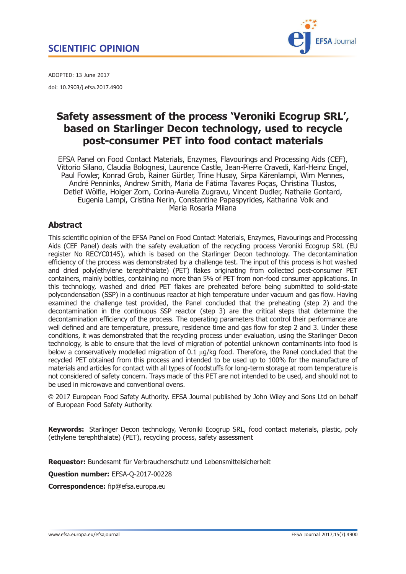

<span id="page-0-0"></span>ADOPTED: 13 June 2017 doi: 10.2903/j.efsa.2017.4900

# Safety assessment of the process 'Veroniki Ecogrup SRL', based on Starlinger Decon technology, used to recycle post-consumer PET into food contact materials

EFSA Panel on Food Contact Materials, Enzymes, Flavourings and Processing Aids (CEF), Vittorio Silano, Claudia Bolognesi, Laurence Castle, Jean-Pierre Cravedi, Karl-Heinz Engel, Paul Fowler, Konrad Grob, Rainer Gürtler, Trine Husøy, Sirpa Kärenlampi, Wim Mennes, André Penninks, Andrew Smith, Maria de Fátima Tavares Poças, Christina Tlustos, Detlef Wölfle, Holger Zorn, Corina-Aurelia Zugravu, Vincent Dudler, Nathalie Gontard, Eugenia Lampi, Cristina Nerin, Constantine Papaspyrides, Katharina Volk and Maria Rosaria Milana

## Abstract

This scientific opinion of the EFSA Panel on Food Contact Materials, Enzymes, Flavourings and Processing Aids (CEF Panel) deals with the safety evaluation of the recycling process Veroniki Ecogrup SRL (EU register No RECYC0145), which is based on the Starlinger Decon technology. The decontamination efficiency of the process was demonstrated by a challenge test. The input of this process is hot washed and dried poly(ethylene terephthalate) (PET) flakes originating from collected post-consumer PET containers, mainly bottles, containing no more than 5% of PET from non-food consumer applications. In this technology, washed and dried PET flakes are preheated before being submitted to solid-state polycondensation (SSP) in a continuous reactor at high temperature under vacuum and gas flow. Having examined the challenge test provided, the Panel concluded that the preheating (step 2) and the decontamination in the continuous SSP reactor (step 3) are the critical steps that determine the decontamination efficiency of the process. The operating parameters that control their performance are well defined and are temperature, pressure, residence time and gas flow for step 2 and 3. Under these conditions, it was demonstrated that the recycling process under evaluation, using the Starlinger Decon technology, is able to ensure that the level of migration of potential unknown contaminants into food is below a conservatively modelled migration of 0.1 ug/kg food. Therefore, the Panel concluded that the recycled PET obtained from this process and intended to be used up to 100% for the manufacture of materials and articles for contact with all types of foodstuffs for long-term storage at room temperature is not considered of safety concern. Trays made of this PET are not intended to be used, and should not to be used in microwave and conventional ovens.

© 2017 European Food Safety Authority. EFSA Journal published by John Wiley and Sons Ltd on behalf of European Food Safety Authority.

Keywords: Starlinger Decon technology, Veroniki Ecogrup SRL, food contact materials, plastic, poly (ethylene terephthalate) (PET), recycling process, safety assessment

Requestor: Bundesamt für Verbraucherschutz und Lebensmittelsicherheit

Question number: EFSA-Q-2017-00228

Correspondence: fip@efsa.europa.eu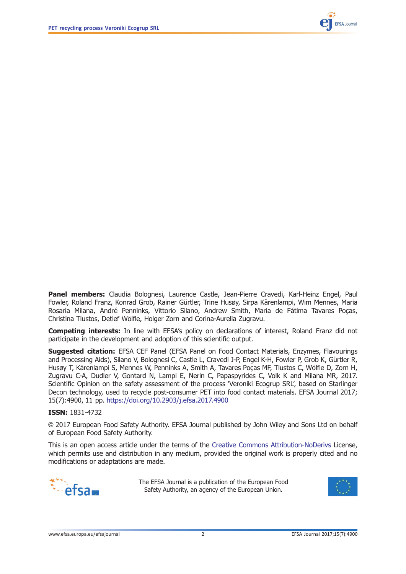

Panel members: Claudia Bolognesi, Laurence Castle, Jean-Pierre Cravedi, Karl-Heinz Engel, Paul Fowler, Roland Franz, Konrad Grob, Rainer Gürtler, Trine Husøy, Sirpa Kärenlampi, Wim Mennes, Maria Rosaria Milana, André Penninks, Vittorio Silano, Andrew Smith, Maria de Fátima Tavares Poças, Christina Tlustos, Detlef Wölfle, Holger Zorn and Corina-Aurelia Zugravu.

**Competing interests:** In line with EFSA's policy on declarations of interest, Roland Franz did not participate in the development and adoption of this scientific output.

**Suggested citation:** EFSA CEF Panel (EFSA Panel on Food Contact Materials, Enzymes, Flavourings and Processing Aids), Silano V, Bolognesi C, Castle L, Cravedi J-P, Engel K-H, Fowler P, Grob K, Gürtler R, Husøy T, Kärenlampi S, Mennes W, Penninks A, Smith A, Tavares Poças MF, Tlustos C, Wölfle D, Zorn H, Zugravu C-A, Dudler V, Gontard N, Lampi E, Nerin C, Papaspyrides C, Volk K and Milana MR, 2017. Scientific Opinion on the safety assessment of the process 'Veroniki Ecogrup SRL', based on Starlinger Decon technology, used to recycle post-consumer PET into food contact materials. EFSA Journal 2017; 15(7):4900, 11 pp. <https://doi.org/10.2903/j.efsa.2017.4900>

#### ISSN: 1831-4732

© 2017 European Food Safety Authority. EFSA Journal published by John Wiley and Sons Ltd on behalf of European Food Safety Authority.

This is an open access article under the terms of the [Creative Commons Attribution-NoDerivs](http://creativecommons.org/licenses/by-nd/4.0/) License, which permits use and distribution in any medium, provided the original work is properly cited and no modifications or adaptations are made.



The EFSA Journal is a publication of the European Food Safety Authority, an agency of the European Union.

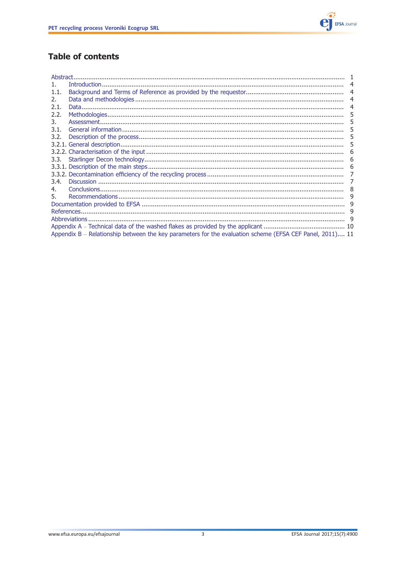

## **Table of contents**

| Abstract.             |                                                                                                          |   |  |  |  |
|-----------------------|----------------------------------------------------------------------------------------------------------|---|--|--|--|
|                       |                                                                                                          |   |  |  |  |
| 1.1.                  |                                                                                                          | 4 |  |  |  |
| $\mathcal{P}_{\cdot}$ |                                                                                                          |   |  |  |  |
| 2.1.                  |                                                                                                          |   |  |  |  |
| 2.2.                  |                                                                                                          | 5 |  |  |  |
| 3.                    |                                                                                                          | ל |  |  |  |
| 3.1.                  |                                                                                                          |   |  |  |  |
| 3.2.                  |                                                                                                          | 5 |  |  |  |
|                       |                                                                                                          | ל |  |  |  |
|                       |                                                                                                          |   |  |  |  |
| 3.3.                  |                                                                                                          | 6 |  |  |  |
|                       |                                                                                                          | ь |  |  |  |
|                       |                                                                                                          |   |  |  |  |
| 3.4.                  |                                                                                                          |   |  |  |  |
| 4.                    |                                                                                                          | 8 |  |  |  |
| 5.                    |                                                                                                          |   |  |  |  |
|                       |                                                                                                          |   |  |  |  |
| 9                     |                                                                                                          |   |  |  |  |
|                       |                                                                                                          |   |  |  |  |
|                       |                                                                                                          |   |  |  |  |
|                       | Appendix B - Relationship between the key parameters for the evaluation scheme (EFSA CEF Panel, 2011) 11 |   |  |  |  |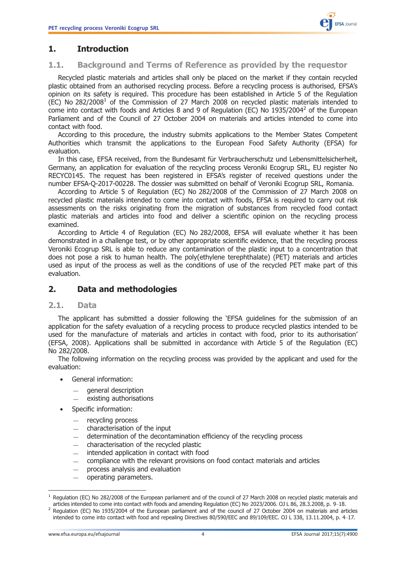## <span id="page-3-0"></span>1. Introduction

#### 1.1. Background and Terms of Reference as provided by the requestor

Recycled plastic materials and articles shall only be placed on the market if they contain recycled plastic obtained from an authorised recycling process. Before a recycling process is authorised, EFSA's opinion on its safety is required. This procedure has been established in Article 5 of the Regulation (EC) No  $282/2008<sup>1</sup>$  of the Commission of 27 March 2008 on recycled plastic materials intended to come into contact with foods and Articles 8 and 9 of Regulation (EC) No 1935/2004<sup>2</sup> of the European Parliament and of the Council of 27 October 2004 on materials and articles intended to come into contact with food.

According to this procedure, the industry submits applications to the Member States Competent Authorities which transmit the applications to the European Food Safety Authority (EFSA) for evaluation.

In this case, EFSA received, from the Bundesamt für Verbraucherschutz und Lebensmittelsicherheit, Germany, an application for evaluation of the recycling process Veroniki Ecogrup SRL, EU register No RECYC0145. The request has been registered in EFSA's register of received questions under the number EFSA-Q-2017-00228. The dossier was submitted on behalf of Veroniki Ecogrup SRL, Romania.

According to Article 5 of Regulation (EC) No 282/2008 of the Commission of 27 March 2008 on recycled plastic materials intended to come into contact with foods, EFSA is required to carry out risk assessments on the risks originating from the migration of substances from recycled food contact plastic materials and articles into food and deliver a scientific opinion on the recycling process examined.

According to Article 4 of Regulation (EC) No 282/2008, EFSA will evaluate whether it has been demonstrated in a challenge test, or by other appropriate scientific evidence, that the recycling process Veroniki Ecogrup SRL is able to reduce any contamination of the plastic input to a concentration that does not pose a risk to human health. The poly(ethylene terephthalate) (PET) materials and articles used as input of the process as well as the conditions of use of the recycled PET make part of this evaluation.

## 2. Data and methodologies

### 2.1. Data

The applicant has submitted a dossier following the 'EFSA guidelines for the submission of an application for the safety evaluation of a recycling process to produce recycled plastics intended to be used for the manufacture of materials and articles in contact with food, prior to its authorisation' (EFSA, 2008). Applications shall be submitted in accordance with Article 5 of the Regulation (EC) No 282/2008.

The following information on the recycling process was provided by the applicant and used for the evaluation:

- General information:
	- general description
	- existing authorisations
- Specific information:
	- recycling process
	- characterisation of the input
	- determination of the decontamination efficiency of the recycling process
	- characterisation of the recycled plastic
	- intended application in contact with food
	- compliance with the relevant provisions on food contact materials and articles
	- process analysis and evaluation<br>
	operating parameters
	- operating parameters.

<sup>&</sup>lt;sup>1</sup> Regulation (EC) No 282/2008 of the European parliament and of the council of 27 March 2008 on recycled plastic materials and articles intended to come into contact with foods and amending Regulation (EC) No 2023/2006.

<sup>&</sup>lt;sup>2</sup> Requlation (EC) No 1935/2004 of the European parliament and of the council of 27 October 2004 on materials and articles intended to come into contact with food and repealing Directives 80/590/EEC and 89/109/EEC. OJ L 338, 13.11.2004, p. 4–17.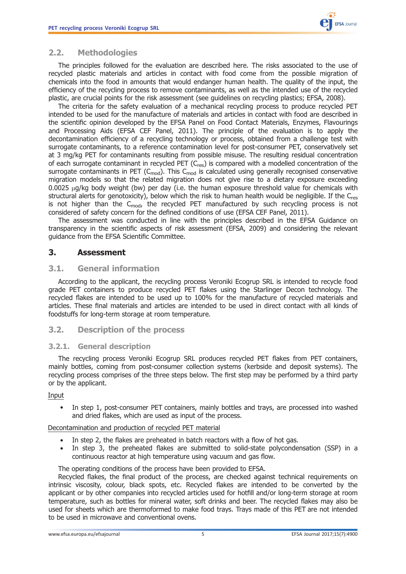

## <span id="page-4-0"></span>2.2. Methodologies

The principles followed for the evaluation are described here. The risks associated to the use of recycled plastic materials and articles in contact with food come from the possible migration of chemicals into the food in amounts that would endanger human health. The quality of the input, the efficiency of the recycling process to remove contaminants, as well as the intended use of the recycled plastic, are crucial points for the risk assessment (see guidelines on recycling plastics; EFSA, 2008).

The criteria for the safety evaluation of a mechanical recycling process to produce recycled PET intended to be used for the manufacture of materials and articles in contact with food are described in the scientific opinion developed by the EFSA Panel on Food Contact Materials, Enzymes, Flavourings and Processing Aids (EFSA CEF Panel, 2011). The principle of the evaluation is to apply the decontamination efficiency of a recycling technology or process, obtained from a challenge test with surrogate contaminants, to a reference contamination level for post-consumer PET, conservatively set at 3 mg/kg PET for contaminants resulting from possible misuse. The resulting residual concentration of each surrogate contaminant in recycled PET  $(C_{res})$  is compared with a modelled concentration of the surrogate contaminants in PET ( $C_{mod}$ ). This  $C_{mod}$  is calculated using generally recognised conservative migration models so that the related migration does not give rise to a dietary exposure exceeding  $0.0025 \mu g/kg$  body weight (bw) per day (i.e. the human exposure threshold value for chemicals with structural alerts for genotoxicity), below which the risk to human health would be negligible. If the C<sub>res</sub> is not higher than the  $C_{mod}$ , the recycled PET manufactured by such recycling process is not considered of safety concern for the defined conditions of use (EFSA CEF Panel, 2011).

The assessment was conducted in line with the principles described in the EFSA Guidance on transparency in the scientific aspects of risk assessment (EFSA, 2009) and considering the relevant guidance from the EFSA Scientific Committee.

## 3. Assessment

#### 3.1. General information

According to the applicant, the recycling process Veroniki Ecogrup SRL is intended to recycle food grade PET containers to produce recycled PET flakes using the Starlinger Decon technology. The recycled flakes are intended to be used up to 100% for the manufacture of recycled materials and articles. These final materials and articles are intended to be used in direct contact with all kinds of foodstuffs for long-term storage at room temperature.

### 3.2. Description of the process

#### 3.2.1. General description

The recycling process Veroniki Ecogrup SRL produces recycled PET flakes from PET containers, mainly bottles, coming from post-consumer collection systems (kerbside and deposit systems). The recycling process comprises of the three steps below. The first step may be performed by a third party or by the applicant.

#### Input

In step 1, post-consumer PET containers, mainly bottles and trays, are processed into washed and dried flakes, which are used as input of the process.

#### Decontamination and production of recycled PET material

- In step 2, the flakes are preheated in batch reactors with a flow of hot gas.
- In step 3, the preheated flakes are submitted to solid-state polycondensation (SSP) in a continuous reactor at high temperature using vacuum and gas flow.

The operating conditions of the process have been provided to EFSA.

Recycled flakes, the final product of the process, are checked against technical requirements on intrinsic viscosity, colour, black spots, etc. Recycled flakes are intended to be converted by the applicant or by other companies into recycled articles used for hotfill and/or long-term storage at room temperature, such as bottles for mineral water, soft drinks and beer. The recycled flakes may also be used for sheets which are thermoformed to make food trays. Trays made of this PET are not intended to be used in microwave and conventional ovens.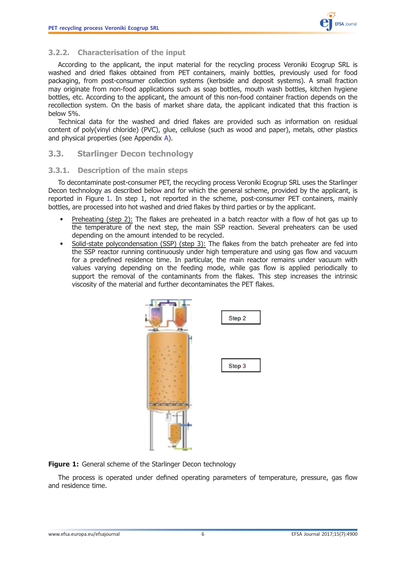## <span id="page-5-0"></span>3.2.2. Characterisation of the input

According to the applicant, the input material for the recycling process Veroniki Ecogrup SRL is washed and dried flakes obtained from PET containers, mainly bottles, previously used for food packaging, from post-consumer collection systems (kerbside and deposit systems). A small fraction may originate from non-food applications such as soap bottles, mouth wash bottles, kitchen hygiene bottles, etc. According to the applicant, the amount of this non-food container fraction depends on the recollection system. On the basis of market share data, the applicant indicated that this fraction is below 5%.

Technical data for the washed and dried flakes are provided such as information on residual content of poly(vinyl chloride) (PVC), glue, cellulose (such as wood and paper), metals, other plastics and physical properties (see Appendix [A\)](#page-9-0).

#### 3.3. Starlinger Decon technology

#### 3.3.1. Description of the main steps

To decontaminate post-consumer PET, the recycling process Veroniki Ecogrup SRL uses the Starlinger Decon technology as described below and for which the general scheme, provided by the applicant, is reported in Figure 1. In step 1, not reported in the scheme, post-consumer PET containers, mainly bottles, are processed into hot washed and dried flakes by third parties or by the applicant.

- Preheating (step 2): The flakes are preheated in a batch reactor with a flow of hot gas up to the temperature of the next step, the main SSP reaction. Several preheaters can be used depending on the amount intended to be recycled.
- Solid-state polycondensation (SSP) (step 3): The flakes from the batch preheater are fed into the SSP reactor running continuously under high temperature and using gas flow and vacuum for a predefined residence time. In particular, the main reactor remains under vacuum with values varying depending on the feeding mode, while gas flow is applied periodically to support the removal of the contaminants from the flakes. This step increases the intrinsic viscosity of the material and further decontaminates the PET flakes.



Figure 1: General scheme of the Starlinger Decon technology

The process is operated under defined operating parameters of temperature, pressure, gas flow and residence time.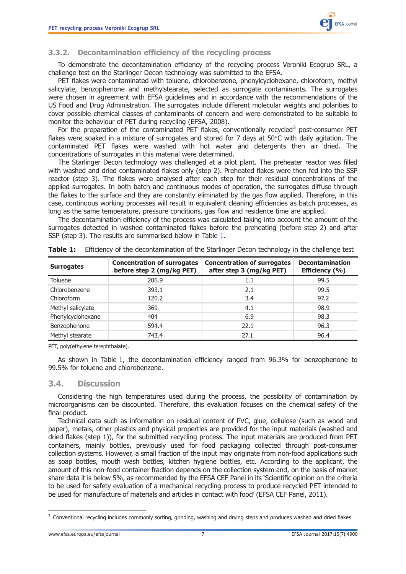

#### <span id="page-6-0"></span>3.3.2. Decontamination efficiency of the recycling process

To demonstrate the decontamination efficiency of the recycling process Veroniki Ecogrup SRL, a challenge test on the Starlinger Decon technology was submitted to the EFSA.

PET flakes were contaminated with toluene, chlorobenzene, phenylcyclohexane, chloroform, methyl salicylate, benzophenone and methylstearate, selected as surrogate contaminants. The surrogates were chosen in agreement with EFSA guidelines and in accordance with the recommendations of the US Food and Drug Administration. The surrogates include different molecular weights and polarities to cover possible chemical classes of contaminants of concern and were demonstrated to be suitable to monitor the behaviour of PET during recycling (EFSA, 2008).

For the preparation of the contaminated PET flakes, conventionally recycled<sup>3</sup> post-consumer PET flakes were soaked in a mixture of surrogates and stored for 7 days at 50°C with daily agitation. The contaminated PET flakes were washed with hot water and detergents then air dried. The concentrations of surrogates in this material were determined.

The Starlinger Decon technology was challenged at a pilot plant. The preheater reactor was filled with washed and dried contaminated flakes only (step 2). Preheated flakes were then fed into the SSP reactor (step 3). The flakes were analysed after each step for their residual concentrations of the applied surrogates. In both batch and continuous modes of operation, the surrogates diffuse through the flakes to the surface and they are constantly eliminated by the gas flow applied. Therefore, in this case, continuous working processes will result in equivalent cleaning efficiencies as batch processes, as long as the same temperature, pressure conditions, gas flow and residence time are applied.

The decontamination efficiency of the process was calculated taking into account the amount of the surrogates detected in washed contaminated flakes before the preheating (before step 2) and after SSP (step 3). The results are summarised below in Table 1.

| <b>Surrogates</b> | <b>Concentration of surrogates</b><br>before step 2 (mg/kg PET) | <b>Concentration of surrogates</b><br>after step 3 (mg/kg PET) | <b>Decontamination</b><br>Efficiency (%) |  |
|-------------------|-----------------------------------------------------------------|----------------------------------------------------------------|------------------------------------------|--|
| Toluene           | 206.9                                                           | 1.1                                                            | 99.5                                     |  |
| Chlorobenzene     | 393.1                                                           | 2.1                                                            | 99.5                                     |  |
| Chloroform        | 120.2                                                           | 3.4                                                            | 97.2                                     |  |
| Methyl salicylate | 369                                                             | 4.1                                                            | 98.9                                     |  |
| Phenylcyclohexane | 404                                                             | 6.9                                                            | 98.3                                     |  |
| Benzophenone      | 594.4                                                           | 22.1                                                           | 96.3                                     |  |
| Methyl stearate   | 743.4                                                           | 27.1                                                           | 96.4                                     |  |

Table 1: Efficiency of the decontamination of the Starlinger Decon technology in the challenge test

PET, poly(ethylene terephthalate).

As shown in Table 1, the decontamination efficiency ranged from 96.3% for benzophenone to 99.5% for toluene and chlorobenzene.

#### 3.4. Discussion

Considering the high temperatures used during the process, the possibility of contamination by microorganisms can be discounted. Therefore, this evaluation focuses on the chemical safety of the final product.

Technical data such as information on residual content of PVC, glue, cellulose (such as wood and paper), metals, other plastics and physical properties are provided for the input materials (washed and dried flakes (step 1)), for the submitted recycling process. The input materials are produced from PET containers, mainly bottles, previously used for food packaging collected through post-consumer collection systems. However, a small fraction of the input may originate from non-food applications such as soap bottles, mouth wash bottles, kitchen hygiene bottles, etc. According to the applicant, the amount of this non-food container fraction depends on the collection system and, on the basis of market share data it is below 5%, as recommended by the EFSA CEF Panel in its 'Scientific opinion on the criteria to be used for safety evaluation of a mechanical recycling process to produce recycled PET intended to be used for manufacture of materials and articles in contact with food' (EFSA CEF Panel, 2011).

 $3$  Conventional recycling includes commonly sorting, grinding, washing and drying steps and produces washed and dried flakes.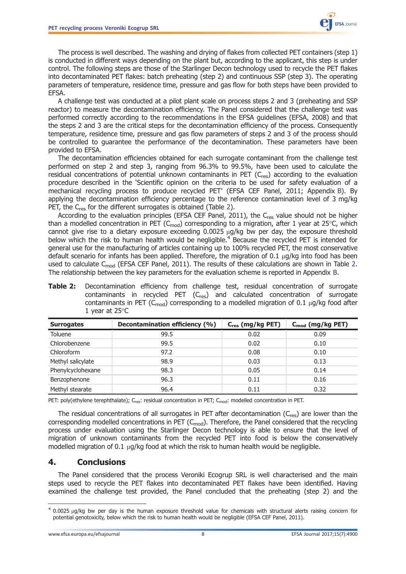

<span id="page-7-0"></span>The process is well described. The washing and drying of flakes from collected PET containers (step 1) is conducted in different ways depending on the plant but, according to the applicant, this step is under control. The following steps are those of the Starlinger Decon technology used to recycle the PET flakes into decontaminated PET flakes: batch preheating (step 2) and continuous SSP (step 3). The operating parameters of temperature, residence time, pressure and gas flow for both steps have been provided to EFSA.

A challenge test was conducted at a pilot plant scale on process steps 2 and 3 (preheating and SSP reactor) to measure the decontamination efficiency. The Panel considered that the challenge test was performed correctly according to the recommendations in the EFSA guidelines (EFSA, 2008) and that the steps 2 and 3 are the critical steps for the decontamination efficiency of the process. Consequently temperature, residence time, pressure and gas flow parameters of steps 2 and 3 of the process should be controlled to guarantee the performance of the decontamination. These parameters have been provided to EFSA.

The decontamination efficiencies obtained for each surrogate contaminant from the challenge test performed on step 2 and step 3, ranging from 96.3% to 99.5%, have been used to calculate the residual concentrations of potential unknown contaminants in PET  $(C_{res})$  according to the evaluation procedure described in the 'Scientific opinion on the criteria to be used for safety evaluation of a mechanical recycling process to produce recycled PET' (EFSA CEF Panel, 2011; Appendix [B\)](#page-10-0). By applying the decontamination efficiency percentage to the reference contamination level of 3 mg/kg PET, the C<sub>res</sub> for the different surrogates is obtained (Table 2).

According to the evaluation principles (EFSA CEF Panel, 2011), the C<sub>res</sub> value should not be higher than a modelled concentration in PET ( $C_{mod}$ ) corresponding to a migration, after 1 year at 25°C, which cannot give rise to a dietary exposure exceeding  $0.0025 \mu g/kg$  bw per day, the exposure threshold below which the risk to human health would be negligible.<sup>4</sup> Because the recycled PET is intended for general use for the manufacturing of articles containing up to 100% recycled PET, the most conservative default scenario for infants has been applied. Therefore, the migration of  $0.1 \mu$ g/kg into food has been used to calculate C<sub>mod</sub> (EFSA CEF Panel, 2011). The results of these calculations are shown in Table 2. The relationship between the key parameters for the evaluation scheme is reported in Appendix [B](#page-10-0).

| <b>Surrogates</b> | Decontamination efficiency (%) | $C_{res}$ (mg/kg PET) | $C_{mod}$ (mg/kg PET) |  |
|-------------------|--------------------------------|-----------------------|-----------------------|--|
| Toluene           | 99.5                           | 0.02                  | 0.09                  |  |
| Chlorobenzene     | 99.5                           | 0.02                  | 0.10                  |  |
| Chloroform        | 97.2                           | 0.08                  | 0.10                  |  |
| Methyl salicylate | 98.9                           | 0.03                  | 0.13                  |  |
| Phenylcyclohexane | 98.3                           | 0.05                  | 0.14                  |  |
| Benzophenone      | 96.3                           | 0.11                  | 0.16                  |  |
| Methyl stearate   | 96.4                           | 0.11                  | 0.32                  |  |

Table 2: Decontamination efficiency from challenge test, residual concentration of surrogate contaminants in recycled PET  $(C_{res})$  and calculated concentration of surrogate contaminants in PET ( $C_{mod}$ ) corresponding to a modelled migration of 0.1  $\mu$ g/kg food after 1 year at 25°C

PET: poly(ethylene terephthalate); C<sub>res</sub>: residual concentration in PET; C<sub>mod</sub>: modelled concentration in PET.

The residual concentrations of all surrogates in PET after decontamination  $(C_{res})$  are lower than the corresponding modelled concentrations in PET ( $C_{mod}$ ). Therefore, the Panel considered that the recycling process under evaluation using the Starlinger Decon technology is able to ensure that the level of migration of unknown contaminants from the recycled PET into food is below the conservatively modelled migration of 0.1  $\mu$ g/kg food at which the risk to human health would be negligible.

#### 4. Conclusions

The Panel considered that the process Veroniki Ecogrup SRL is well characterised and the main steps used to recycle the PET flakes into decontaminated PET flakes have been identified. Having examined the challenge test provided, the Panel concluded that the preheating (step 2) and the

 $4$  0.0025  $\mu$ q/kq bw per day is the human exposure threshold value for chemicals with structural alerts raising concern for potential genotoxicity, below which the risk to human health would be negligible (EFSA CEF Panel, 2011).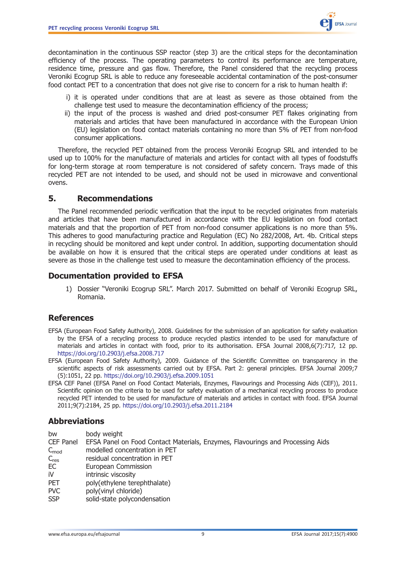

<span id="page-8-0"></span>decontamination in the continuous SSP reactor (step 3) are the critical steps for the decontamination efficiency of the process. The operating parameters to control its performance are temperature, residence time, pressure and gas flow. Therefore, the Panel considered that the recycling process Veroniki Ecogrup SRL is able to reduce any foreseeable accidental contamination of the post-consumer food contact PET to a concentration that does not give rise to concern for a risk to human health if:

- i) it is operated under conditions that are at least as severe as those obtained from the challenge test used to measure the decontamination efficiency of the process;
- ii) the input of the process is washed and dried post-consumer PET flakes originating from materials and articles that have been manufactured in accordance with the European Union (EU) legislation on food contact materials containing no more than 5% of PET from non-food consumer applications.

Therefore, the recycled PET obtained from the process Veroniki Ecogrup SRL and intended to be used up to 100% for the manufacture of materials and articles for contact with all types of foodstuffs for long-term storage at room temperature is not considered of safety concern. Trays made of this recycled PET are not intended to be used, and should not be used in microwave and conventional ovens.

### 5. Recommendations

The Panel recommended periodic verification that the input to be recycled originates from materials and articles that have been manufactured in accordance with the EU legislation on food contact materials and that the proportion of PET from non-food consumer applications is no more than 5%. This adheres to good manufacturing practice and Regulation (EC) No 282/2008, Art. 4b. Critical steps in recycling should be monitored and kept under control. In addition, supporting documentation should be available on how it is ensured that the critical steps are operated under conditions at least as severe as those in the challenge test used to measure the decontamination efficiency of the process.

## Documentation provided to EFSA

1) Dossier "Veroniki Ecogrup SRL". March 2017. Submitted on behalf of Veroniki Ecogrup SRL, Romania.

## References

- EFSA (European Food Safety Authority), 2008. Guidelines for the submission of an application for safety evaluation by the EFSA of a recycling process to produce recycled plastics intended to be used for manufacture of materials and articles in contact with food, prior to its authorisation. EFSA Journal 2008,6(7):717, 12 pp. <https://doi.org/10.2903/j.efsa.2008.717>
- EFSA (European Food Safety Authority), 2009. Guidance of the Scientific Committee on transparency in the scientific aspects of risk assessments carried out by EFSA. Part 2: general principles. EFSA Journal 2009;7 (5):1051, 22 pp. <https://doi.org/10.2903/j.efsa.2009.1051>
- EFSA CEF Panel (EFSA Panel on Food Contact Materials, Enzymes, Flavourings and Processing Aids (CEF)), 2011. Scientific opinion on the criteria to be used for safety evaluation of a mechanical recycling process to produce recycled PET intended to be used for manufacture of materials and articles in contact with food. EFSA Journal 2011;9(7):2184, 25 pp. <https://doi.org/10.2903/j.efsa.2011.2184>

## Abbreviations

| bw               | body weight                                                                    |
|------------------|--------------------------------------------------------------------------------|
| CEF Panel        | EFSA Panel on Food Contact Materials, Enzymes, Flavourings and Processing Aids |
| $C_{\text{mod}}$ | modelled concentration in PET                                                  |
| $C_{res}$        | residual concentration in PET                                                  |
| EC.              | European Commission                                                            |
| iV               | intrinsic viscosity                                                            |
| <b>PET</b>       | poly(ethylene terephthalate)                                                   |
| <b>PVC</b>       | poly(vinyl chloride)                                                           |
| <b>SSP</b>       | solid-state polycondensation                                                   |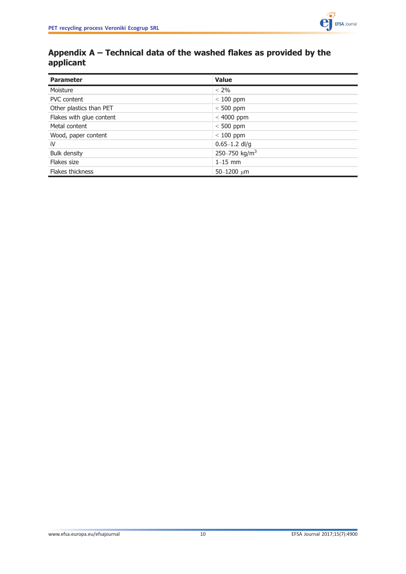

## <span id="page-9-0"></span>Appendix A – Technical data of the washed flakes as provided by the applicant

| <b>Parameter</b>         | <b>Value</b>              |  |  |
|--------------------------|---------------------------|--|--|
| Moisture                 | $< 2\%$                   |  |  |
| <b>PVC</b> content       | $< 100$ ppm               |  |  |
| Other plastics than PET  | $< 500$ ppm               |  |  |
| Flakes with glue content | $< 4000$ ppm              |  |  |
| Metal content            | $< 500$ ppm               |  |  |
| Wood, paper content      | $< 100$ ppm               |  |  |
| ïV                       | $0.65 - 1.2$ dl/g         |  |  |
| <b>Bulk density</b>      | 250-750 kg/m <sup>3</sup> |  |  |
| Flakes size              | $1-15$ mm                 |  |  |
| Flakes thickness         | $50 - 1200$ um            |  |  |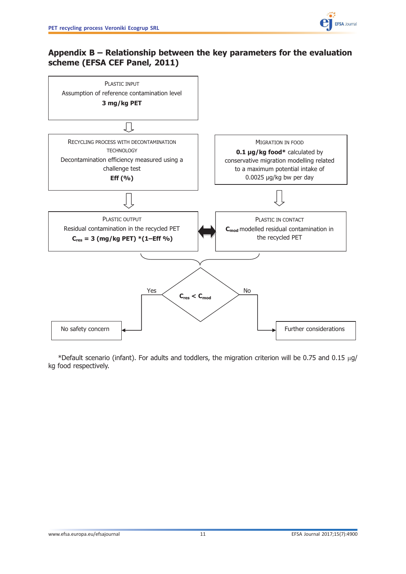

## <span id="page-10-0"></span>Appendix B – Relationship between the key parameters for the evaluation scheme (EFSA CEF Panel, 2011)



\*Default scenario (infant). For adults and toddlers, the migration criterion will be 0.75 and 0.15  $\mu$ g/ kg food respectively.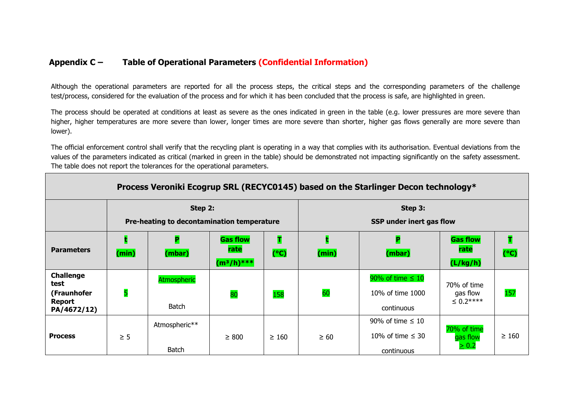## **Appendix C – Table of Operational Parameters (Confidential Information)**

Although the operational parameters are reported for all the process steps, the critical steps and the corresponding parameters of the challenge test/process, considered for the evaluation of the process and for which it has been concluded that the process is safe, are highlighted in green.

The process should be operated at conditions at least as severe as the ones indicated in green in the table (e.g. lower pressures are more severe than higher, higher temperatures are more severe than lower, longer times are more severe than shorter, higher gas flows generally are more severe than lower).

The official enforcement control shall verify that the recycling plant is operating in a way that complies with its authorisation. Eventual deviations from the values of the parameters indicated as critical (marked in green in the table) should be demonstrated not impacting significantly on the safety assessment. The table does not report the tolerances for the operational parameters.

| Process Veroniki Ecogrup SRL (RECYC0145) based on the Starlinger Decon technology* |                                            |                    |                 |                          |           |                       |                         |            |
|------------------------------------------------------------------------------------|--------------------------------------------|--------------------|-----------------|--------------------------|-----------|-----------------------|-------------------------|------------|
| Step 2:                                                                            |                                            |                    | Step 3:         |                          |           |                       |                         |            |
|                                                                                    | Pre-heating to decontamination temperature |                    |                 | SSP under inert gas flow |           |                       |                         |            |
|                                                                                    |                                            | P                  | <b>Gas flow</b> | т                        |           | P                     | <b>Gas flow</b>         | т          |
| <b>Parameters</b>                                                                  | (min)                                      | (mbar)             | rate            | (C)                      | (min)     | (mbar)                | rate                    | (C)        |
|                                                                                    |                                            |                    | $(m^3/h)^{***}$ |                          |           |                       | (L/kg/h)                |            |
| <b>Challenge</b><br>test                                                           |                                            | <b>Atmospheric</b> |                 |                          |           | 90% of time $\leq 10$ | 70% of time             |            |
| (Fraunhofer                                                                        | 5                                          |                    | 80              | 158                      | 60        | 10% of time 1000      | gas flow                | 157        |
| Report<br>PA/4672/12)                                                              |                                            | Batch              |                 |                          |           | continuous            | $\leq 0.2***$           |            |
|                                                                                    |                                            | Atmospheric**      |                 |                          |           | 90% of time $\leq 10$ |                         |            |
| <b>Process</b>                                                                     | $\geq 5$                                   |                    | $\geq 800$      | $\geq 160$               | $\geq 60$ | 10% of time $\leq$ 30 | 70% of time<br>gas flow | $\geq 160$ |
|                                                                                    |                                            | <b>Batch</b>       |                 |                          |           | continuous            | $\geq 0.2$              |            |